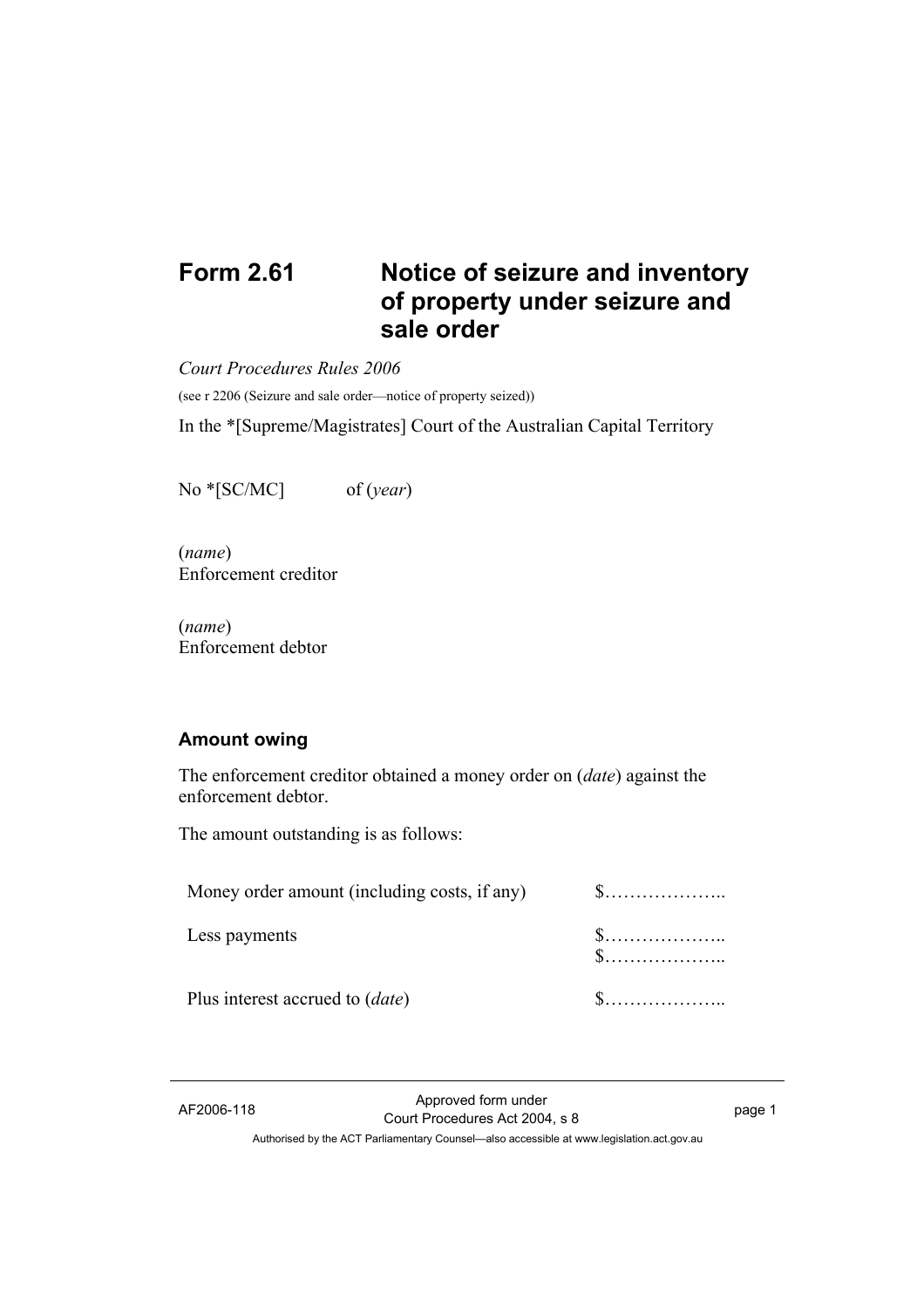# **Form 2.61 Notice of seizure and inventory of property under seizure and sale order**

*Court Procedures Rules 2006* 

(see r 2206 (Seizure and sale order—notice of property seized))

In the \*[Supreme/Magistrates] Court of the Australian Capital Territory

No \*[SC/MC] of (*year*)

(*name*) Enforcement creditor

(*name*) Enforcement debtor

### **Amount owing**

The enforcement creditor obtained a money order on (*date*) against the enforcement debtor.

The amount outstanding is as follows:

| Less payments                          |  |
|----------------------------------------|--|
| Plus interest accrued to <i>(date)</i> |  |

AF2006-118 Approved form under Proved form under<br>
Court Procedures Act 2004, s 8 Authorised by the ACT Parliamentary Counsel—also accessible at www.legislation.act.gov.au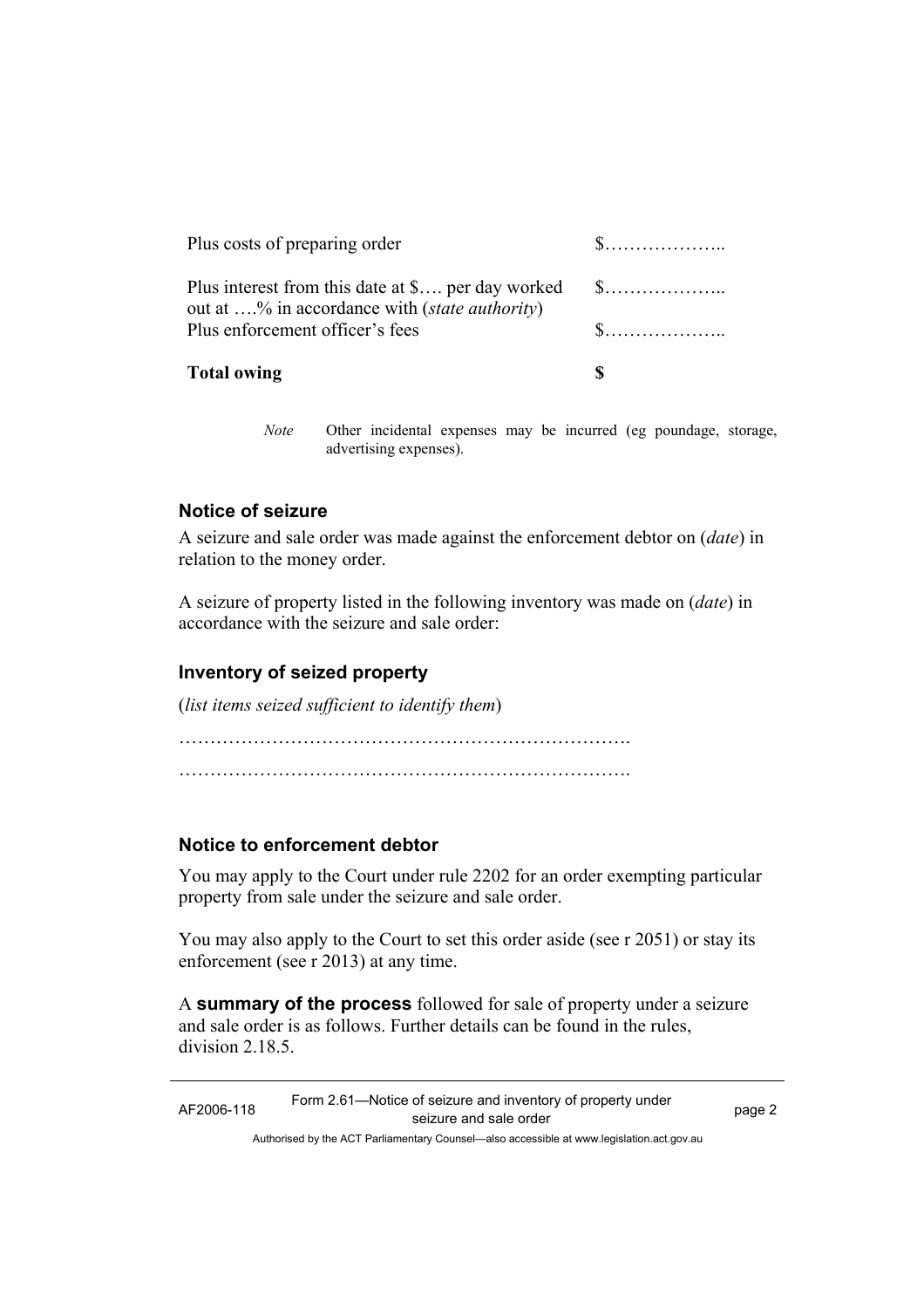| <b>Total owing</b>                                                                                             |             |
|----------------------------------------------------------------------------------------------------------------|-------------|
| Plus enforcement officer's fees                                                                                | $\mathbf S$ |
| Plus interest from this date at \$ per day worked \$<br>out at % in accordance with ( <i>state authority</i> ) |             |
| Plus costs of preparing order                                                                                  |             |
|                                                                                                                |             |

*Note* Other incidental expenses may be incurred (eg poundage, storage, advertising expenses).

## **Notice of seizure**

A seizure and sale order was made against the enforcement debtor on (*date*) in relation to the money order.

A seizure of property listed in the following inventory was made on (*date*) in accordance with the seizure and sale order:

## **Inventory of seized property**

(*list items seized sufficient to identify them*)

………………………………………………………………. ……………………………………………………………….

### **Notice to enforcement debtor**

You may apply to the Court under rule 2202 for an order exempting particular property from sale under the seizure and sale order.

You may also apply to the Court to set this order aside (see r 2051) or stay its enforcement (see r 2013) at any time.

A **summary of the process** followed for sale of property under a seizure and sale order is as follows. Further details can be found in the rules, division 2.18.5

Authorised by the ACT Parliamentary Counsel—also accessible at www.legislation.act.gov.au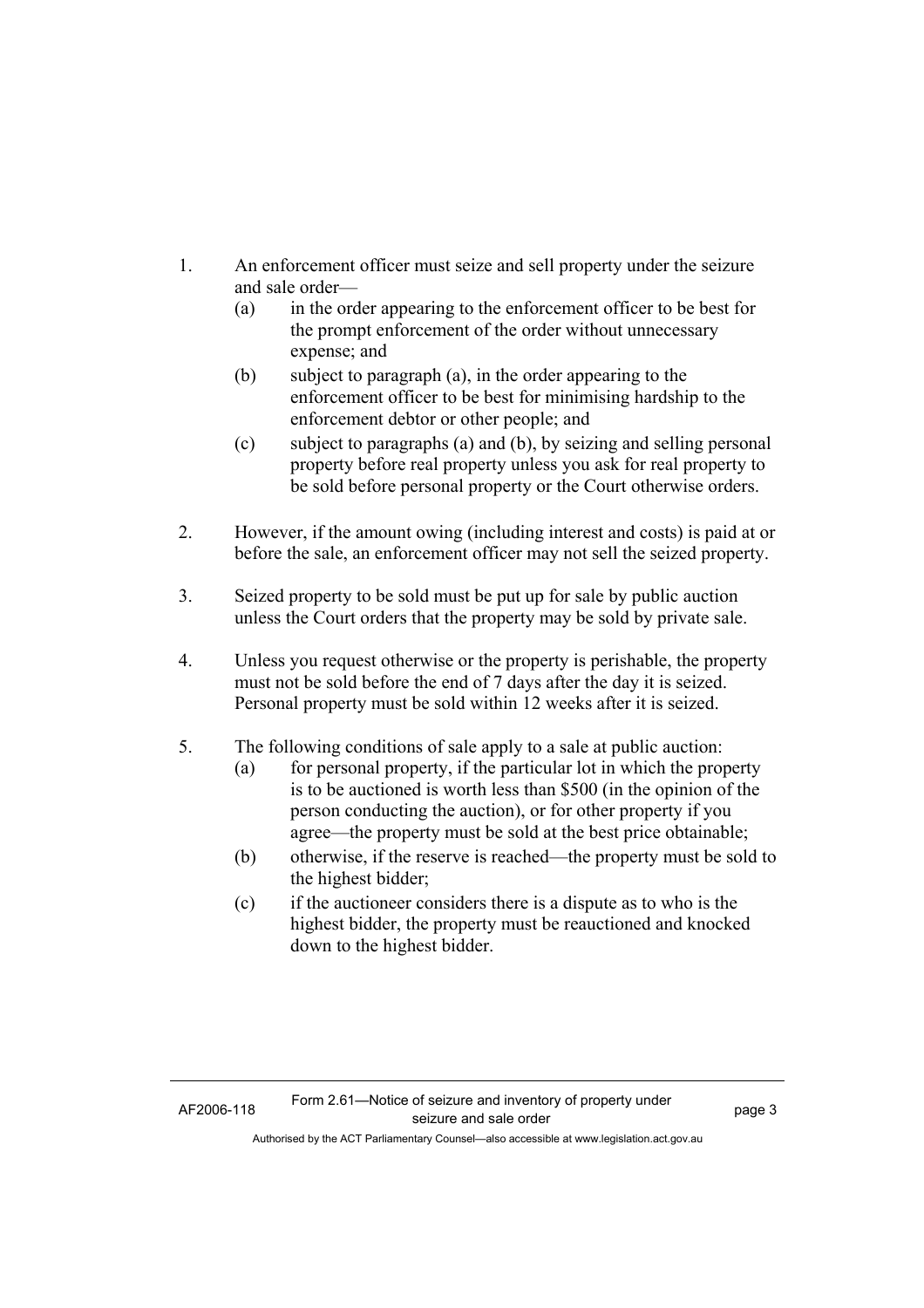- 1. An enforcement officer must seize and sell property under the seizure and sale order—
	- (a) in the order appearing to the enforcement officer to be best for the prompt enforcement of the order without unnecessary expense; and
	- (b) subject to paragraph (a), in the order appearing to the enforcement officer to be best for minimising hardship to the enforcement debtor or other people; and
	- (c) subject to paragraphs (a) and (b), by seizing and selling personal property before real property unless you ask for real property to be sold before personal property or the Court otherwise orders.
- 2. However, if the amount owing (including interest and costs) is paid at or before the sale, an enforcement officer may not sell the seized property.
- 3. Seized property to be sold must be put up for sale by public auction unless the Court orders that the property may be sold by private sale.
- 4. Unless you request otherwise or the property is perishable, the property must not be sold before the end of 7 days after the day it is seized. Personal property must be sold within 12 weeks after it is seized.
- 5. The following conditions of sale apply to a sale at public auction:
	- (a) for personal property, if the particular lot in which the property is to be auctioned is worth less than \$500 (in the opinion of the person conducting the auction), or for other property if you agree—the property must be sold at the best price obtainable;
	- (b) otherwise, if the reserve is reached—the property must be sold to the highest bidder;
	- (c) if the auctioneer considers there is a dispute as to who is the highest bidder, the property must be reauctioned and knocked down to the highest bidder.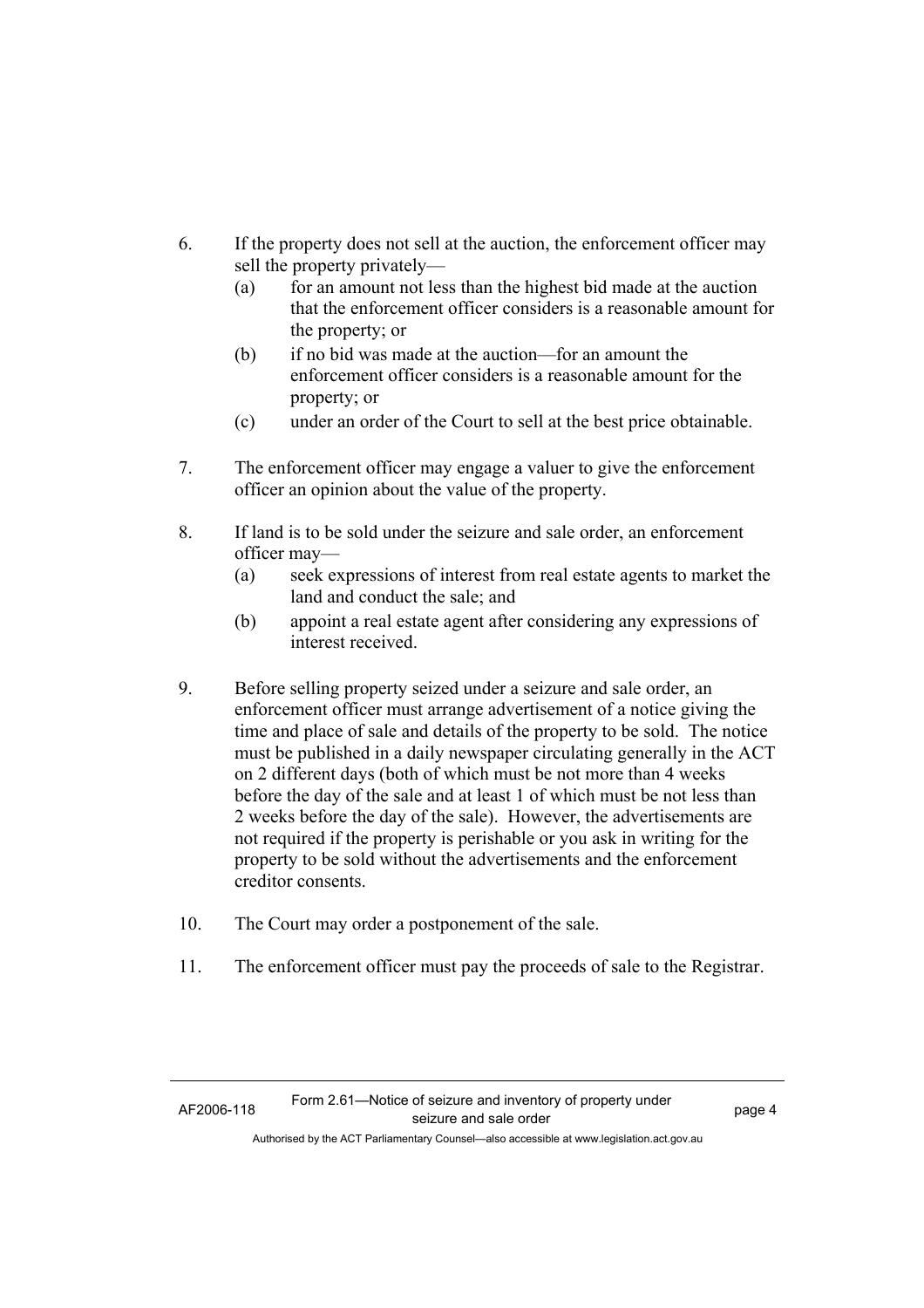- 6. If the property does not sell at the auction, the enforcement officer may sell the property privately—
	- (a) for an amount not less than the highest bid made at the auction that the enforcement officer considers is a reasonable amount for the property; or
	- (b) if no bid was made at the auction—for an amount the enforcement officer considers is a reasonable amount for the property; or
	- (c) under an order of the Court to sell at the best price obtainable.
- 7. The enforcement officer may engage a valuer to give the enforcement officer an opinion about the value of the property.
- 8. If land is to be sold under the seizure and sale order, an enforcement officer may—
	- (a) seek expressions of interest from real estate agents to market the land and conduct the sale; and
	- (b) appoint a real estate agent after considering any expressions of interest received.
- 9. Before selling property seized under a seizure and sale order, an enforcement officer must arrange advertisement of a notice giving the time and place of sale and details of the property to be sold. The notice must be published in a daily newspaper circulating generally in the ACT on 2 different days (both of which must be not more than 4 weeks before the day of the sale and at least 1 of which must be not less than 2 weeks before the day of the sale). However, the advertisements are not required if the property is perishable or you ask in writing for the property to be sold without the advertisements and the enforcement creditor consents.
- 10. The Court may order a postponement of the sale.
- 11. The enforcement officer must pay the proceeds of sale to the Registrar.